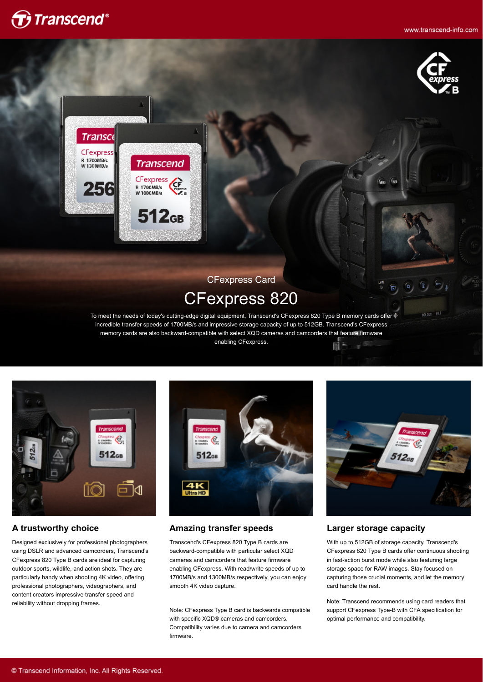



FOLDER FILE



# CFexpress Card CFexpress 820

To meet the needs of today's cutting-edge digital equipment, Transcend's CFexpress 820 Type B memory cards offer incredible transfer speeds of 1700MB/s and impressive storage capacity of up to 512GB. Transcend's CFexpress memory cards are also backward-compatible with select XQD cameras and camcorders that feature firmware enabling CFexpress.



### **A trustworthy choice**

Designed exclusively for professional photographers using DSLR and advanced camcorders, Transcend's CFexpress 820 Type B cards are ideal for capturing outdoor sports, wildlife, and action shots. They are particularly handy when shooting 4K video, offering professional photographers, videographers, and content creators impressive transfer speed and reliability without dropping frames.



### **Amazing transfer speeds**

Transcend's CFexpress 820 Type B cards are backward-compatible with particular select XQD cameras and camcorders that feature firmware enabling CFexpress. With read/write speeds of up to 1700MB/s and 1300MB/s respectively, you can enjoy smooth 4K video capture.

Note: CFexpress Type B card is backwards compatible with specific XQD® cameras and camcorders. Compatibility varies due to camera and camcorders firmware.



#### **Larger storage capacity**

With up to 512GB of storage capacity, Transcend's CFexpress 820 Type B cards offer continuous shooting in fast-action burst mode while also featuring large storage space for RAW images. Stay focused on capturing those crucial moments, and let the memory card handle the rest.

Note: Transcend recommends using card readers that support CFexpress Type-B with CFA specification for optimal performance and compatibility.